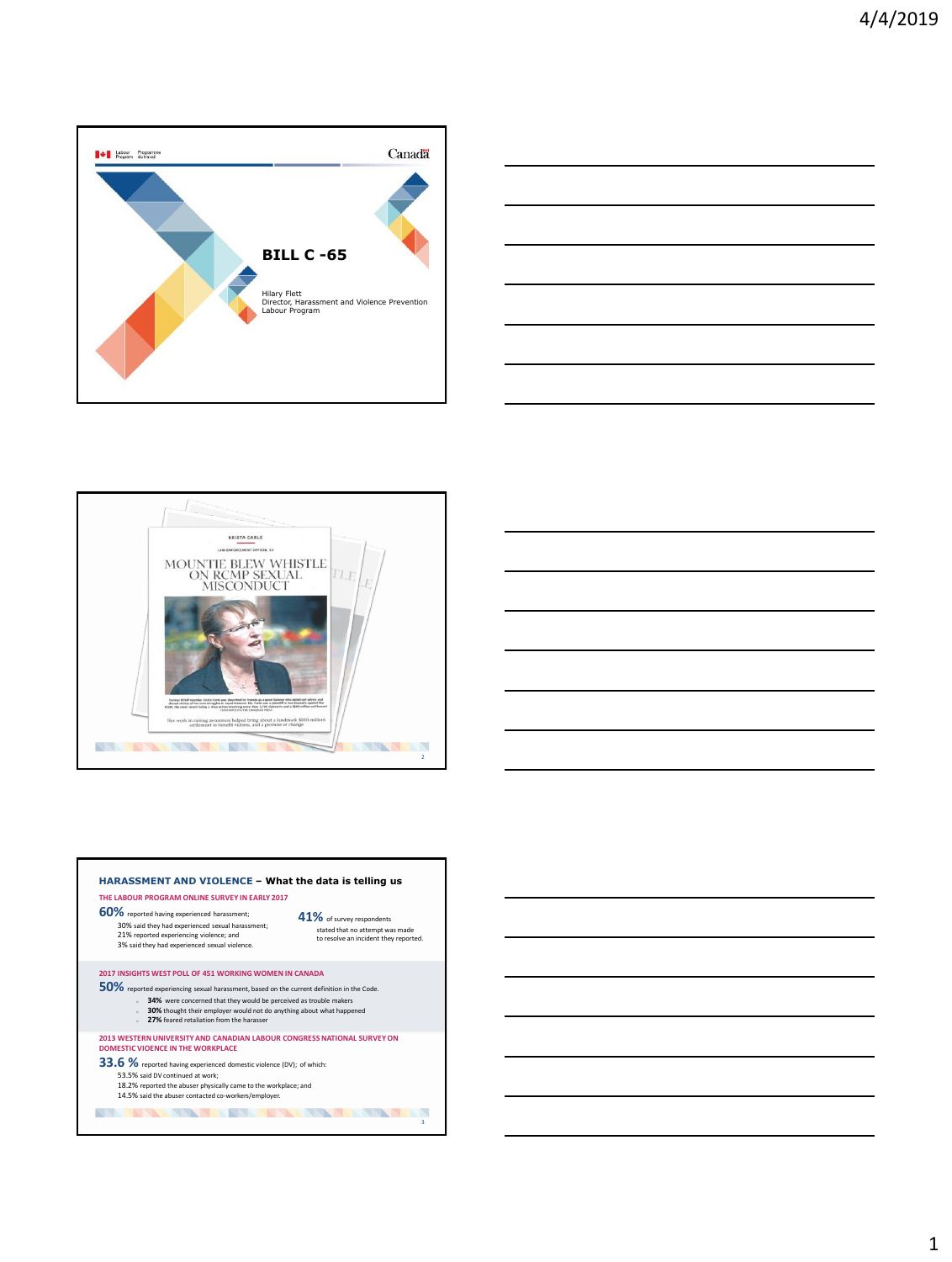